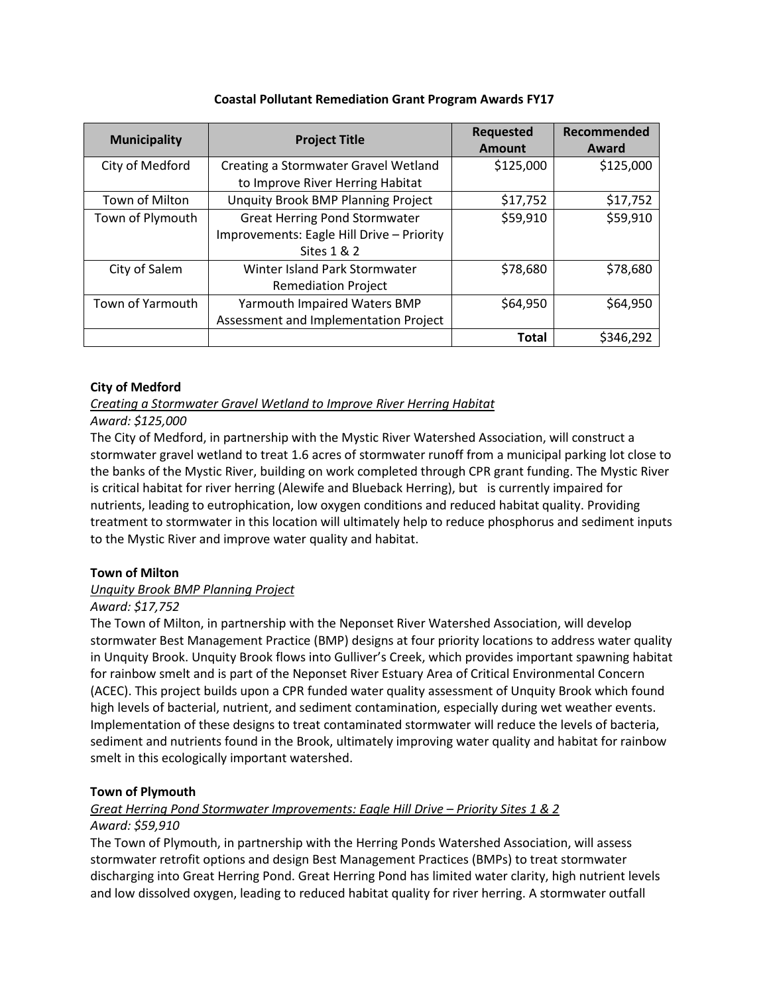| <b>Municipality</b> | <b>Project Title</b>                      | <b>Requested</b><br><b>Amount</b> | Recommended<br>Award |
|---------------------|-------------------------------------------|-----------------------------------|----------------------|
| City of Medford     | Creating a Stormwater Gravel Wetland      | \$125,000                         | \$125,000            |
|                     | to Improve River Herring Habitat          |                                   |                      |
| Town of Milton      | <b>Unquity Brook BMP Planning Project</b> | \$17,752                          | \$17,752             |
| Town of Plymouth    | <b>Great Herring Pond Stormwater</b>      | \$59,910                          | \$59,910             |
|                     | Improvements: Eagle Hill Drive - Priority |                                   |                      |
|                     | Sites 1 & 2                               |                                   |                      |
| City of Salem       | Winter Island Park Stormwater             | \$78,680                          | \$78,680             |
|                     | <b>Remediation Project</b>                |                                   |                      |
| Town of Yarmouth    | Yarmouth Impaired Waters BMP              | \$64,950                          | \$64,950             |
|                     | Assessment and Implementation Project     |                                   |                      |
|                     |                                           | <b>Total</b>                      | \$346,292            |

## **Coastal Pollutant Remediation Grant Program Awards FY17**

## **City of Medford**

*Creating a Stormwater Gravel Wetland to Improve River Herring Habitat*

## *Award: \$125,000*

The City of Medford, in partnership with the Mystic River Watershed Association, will construct a stormwater gravel wetland to treat 1.6 acres of stormwater runoff from a municipal parking lot close to the banks of the Mystic River, building on work completed through CPR grant funding. The Mystic River is critical habitat for river herring (Alewife and Blueback Herring), but is currently impaired for nutrients, leading to eutrophication, low oxygen conditions and reduced habitat quality. Providing treatment to stormwater in this location will ultimately help to reduce phosphorus and sediment inputs to the Mystic River and improve water quality and habitat.

## **Town of Milton**

## *Unquity Brook BMP Planning Project*

#### *Award: \$17,752*

The Town of Milton, in partnership with the Neponset River Watershed Association, will develop stormwater Best Management Practice (BMP) designs at four priority locations to address water quality in Unquity Brook. Unquity Brook flows into Gulliver's Creek, which provides important spawning habitat for rainbow smelt and is part of the Neponset River Estuary Area of Critical Environmental Concern (ACEC). This project builds upon a CPR funded water quality assessment of Unquity Brook which found high levels of bacterial, nutrient, and sediment contamination, especially during wet weather events. Implementation of these designs to treat contaminated stormwater will reduce the levels of bacteria, sediment and nutrients found in the Brook, ultimately improving water quality and habitat for rainbow smelt in this ecologically important watershed.

## **Town of Plymouth**

## *Great Herring Pond Stormwater Improvements: Eagle Hill Drive – Priority Sites 1 & 2*

## *Award: \$59,910*

The Town of Plymouth, in partnership with the Herring Ponds Watershed Association, will assess stormwater retrofit options and design Best Management Practices (BMPs) to treat stormwater discharging into Great Herring Pond. Great Herring Pond has limited water clarity, high nutrient levels and low dissolved oxygen, leading to reduced habitat quality for river herring. A stormwater outfall